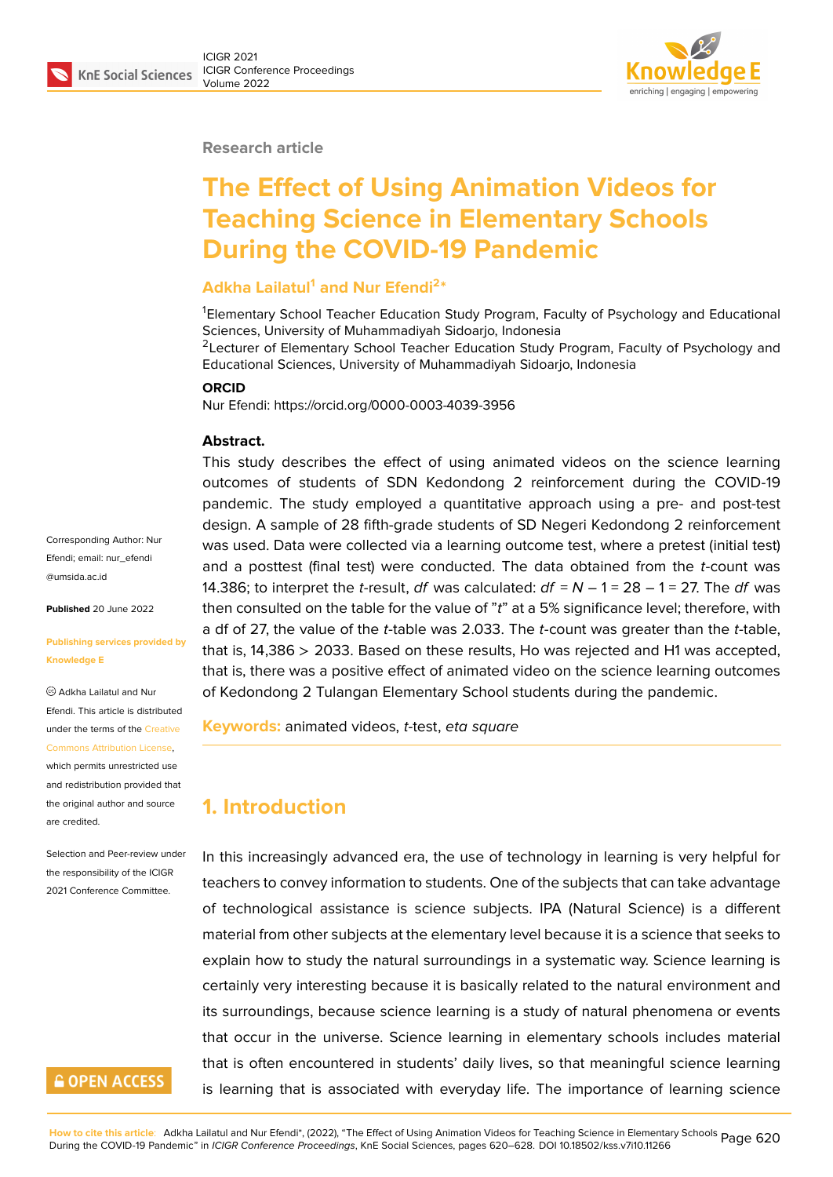

#### **Research article**

# **The Effect of Using Animation Videos for Teaching Science in Elementary Schools During the COVID-19 Pandemic**

#### **Adkha Lailatul<sup>1</sup> and Nur Efendi<sup>2</sup> \***

<sup>1</sup>Elementary School Teacher Education Study Program, Faculty of Psychology and Educational Sciences, University of Muhammadiyah Sidoarjo, Indonesia <sup>2</sup> Lecturer of Elementary School Teacher Education Study Program, Faculty of Psychology and Educational Sciences, University of Muhammadiyah Sidoarjo, Indonesia

#### **ORCID**

Nur Efendi: https://orcid.org/0000-0003-4039-3956

#### **Abstract.**

This study describes the effect of using animated videos on the science learning outcomes of students of SDN Kedondong 2 reinforcement during the COVID-19 pandemic. The study employed a quantitative approach using a pre- and post-test design. A sample of 28 fifth-grade students of SD Negeri Kedondong 2 reinforcement was used. Data were collected via a learning outcome test, where a pretest (initial test) and a posttest (final test) were conducted. The data obtained from the *t*-count was 14.386; to interpret the *t*-result, *df* was calculated: *df* = *N* – 1 = 28 – 1 = 27. The *df* was then consulted on the table for the value of "*t*" at a 5% significance level; therefore, with a df of 27, the value of the *t*-table was 2.033. The *t*-count was greater than the *t*-table, that is, 14,386 > 2033. Based on these results, Ho was rejected and H1 was accepted, that is, there was a positive effect of animated video on the science learning outcomes of Kedondong 2 Tulangan Elementary School students during the pandemic.

**Keywords:** animated videos, *t-*test, *eta square*

## **1. Introduction**

In this increasingly advanced era, the use of technology in learning is very helpful for teachers to convey information to students. One of the subjects that can take advantage of technological assistance is science subjects. IPA (Natural Science) is a different material from other subjects at the elementary level because it is a science that seeks to explain how to study the natural surroundings in a systematic way. Science learning is certainly very interesting because it is basically related to the natural environment and its surroundings, because science learning is a study of natural phenomena or events that occur in the universe. Science learning in elementary schools includes material that is often encountered in students' daily lives, so that meaningful science learning is learning that is associated with everyday life. The importance of learning science

Corresponding Author: Nur Efendi; email: nur\_efendi @umsida.ac.id

**Published** 20 June 2022

#### **[Publishing ser](mailto:nur_efendi @umsida.ac.id)vices provided by Knowledge E**

Adkha Lailatul and Nur Efendi. This article is distributed under the terms of the Creative Commons Attribution License, which permits unrestricted use

and redistribution provided that the original author and [source](https://creativecommons.org/licenses/by/4.0/) [are credited.](https://creativecommons.org/licenses/by/4.0/)

Selection and Peer-review under the responsibility of the ICIGR 2021 Conference Committee.

### **GOPEN ACCESS**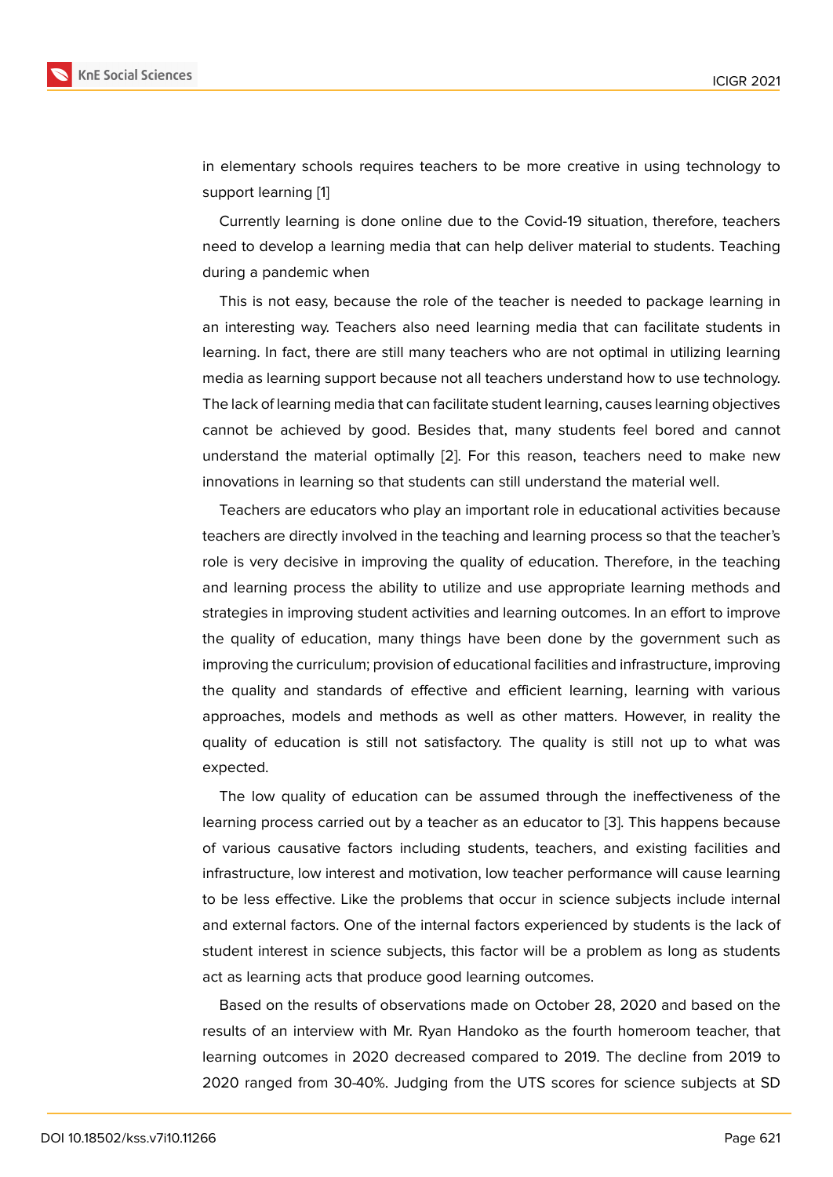in elementary schools requires teachers to be more creative in using technology to support learning [1]

Currently learning is done online due to the Covid-19 situation, therefore, teachers need to develop a learning media that can help deliver material to students. Teaching during a pandem[ic](#page-8-0) when

This is not easy, because the role of the teacher is needed to package learning in an interesting way. Teachers also need learning media that can facilitate students in learning. In fact, there are still many teachers who are not optimal in utilizing learning media as learning support because not all teachers understand how to use technology. The lack of learning media that can facilitate student learning, causes learning objectives cannot be achieved by good. Besides that, many students feel bored and cannot understand the material optimally [2]. For this reason, teachers need to make new innovations in learning so that students can still understand the material well.

Teachers are educators who play an important role in educational activities because teachers are directly involved in the [te](#page-8-1)aching and learning process so that the teacher's role is very decisive in improving the quality of education. Therefore, in the teaching and learning process the ability to utilize and use appropriate learning methods and strategies in improving student activities and learning outcomes. In an effort to improve the quality of education, many things have been done by the government such as improving the curriculum; provision of educational facilities and infrastructure, improving the quality and standards of effective and efficient learning, learning with various approaches, models and methods as well as other matters. However, in reality the quality of education is still not satisfactory. The quality is still not up to what was expected.

The low quality of education can be assumed through the ineffectiveness of the learning process carried out by a teacher as an educator to [3]. This happens because of various causative factors including students, teachers, and existing facilities and infrastructure, low interest and motivation, low teacher performance will cause learning to be less effective. Like the problems that occur in scienc[e s](#page-8-2)ubjects include internal and external factors. One of the internal factors experienced by students is the lack of student interest in science subjects, this factor will be a problem as long as students act as learning acts that produce good learning outcomes.

Based on the results of observations made on October 28, 2020 and based on the results of an interview with Mr. Ryan Handoko as the fourth homeroom teacher, that learning outcomes in 2020 decreased compared to 2019. The decline from 2019 to 2020 ranged from 30-40%. Judging from the UTS scores for science subjects at SD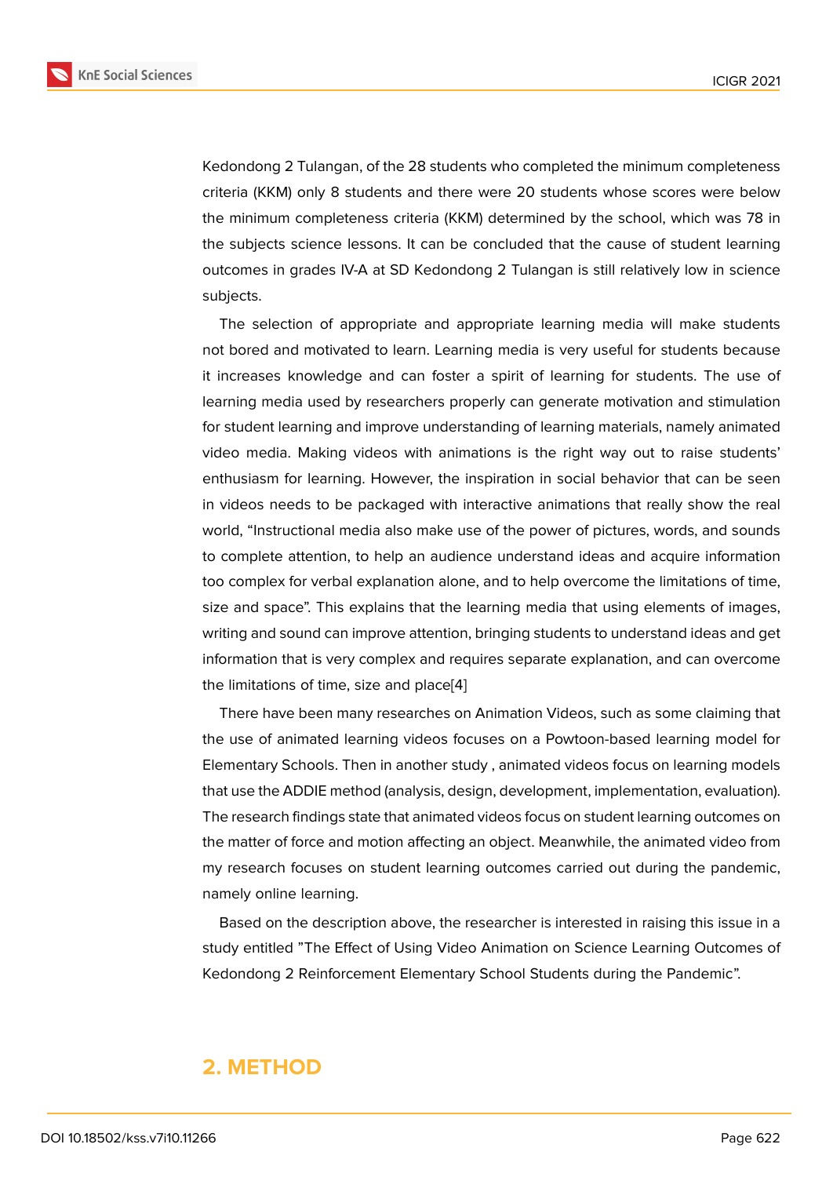Kedondong 2 Tulangan, of the 28 students who completed the minimum completeness criteria (KKM) only 8 students and there were 20 students whose scores were below the minimum completeness criteria (KKM) determined by the school, which was 78 in the subjects science lessons. It can be concluded that the cause of student learning outcomes in grades IV-A at SD Kedondong 2 Tulangan is still relatively low in science subjects.

The selection of appropriate and appropriate learning media will make students not bored and motivated to learn. Learning media is very useful for students because it increases knowledge and can foster a spirit of learning for students. The use of learning media used by researchers properly can generate motivation and stimulation for student learning and improve understanding of learning materials, namely animated video media. Making videos with animations is the right way out to raise students' enthusiasm for learning. However, the inspiration in social behavior that can be seen in videos needs to be packaged with interactive animations that really show the real world, "Instructional media also make use of the power of pictures, words, and sounds to complete attention, to help an audience understand ideas and acquire information too complex for verbal explanation alone, and to help overcome the limitations of time, size and space". This explains that the learning media that using elements of images, writing and sound can improve attention, bringing students to understand ideas and get information that is very complex and requires separate explanation, and can overcome the limitations of time, size and place[4]

There have been many researches on Animation Videos, such as some claiming that the use of animated learning videos focuses on a Powtoon-based learning model for Elementary Schools. Then in another [st](#page-8-3)udy , animated videos focus on learning models that use the ADDIE method (analysis, design, development, implementation, evaluation). The research findings state that animated videos focus on student learning outcomes on the matter of force and motion affecting an object. Meanwhile, the animated video from my research focuses on student learning outcomes carried out during the pandemic, namely online learning.

Based on the description above, the researcher is interested in raising this issue in a study entitled "The Effect of Using Video Animation on Science Learning Outcomes of Kedondong 2 Reinforcement Elementary School Students during the Pandemic".

### **2. METHOD**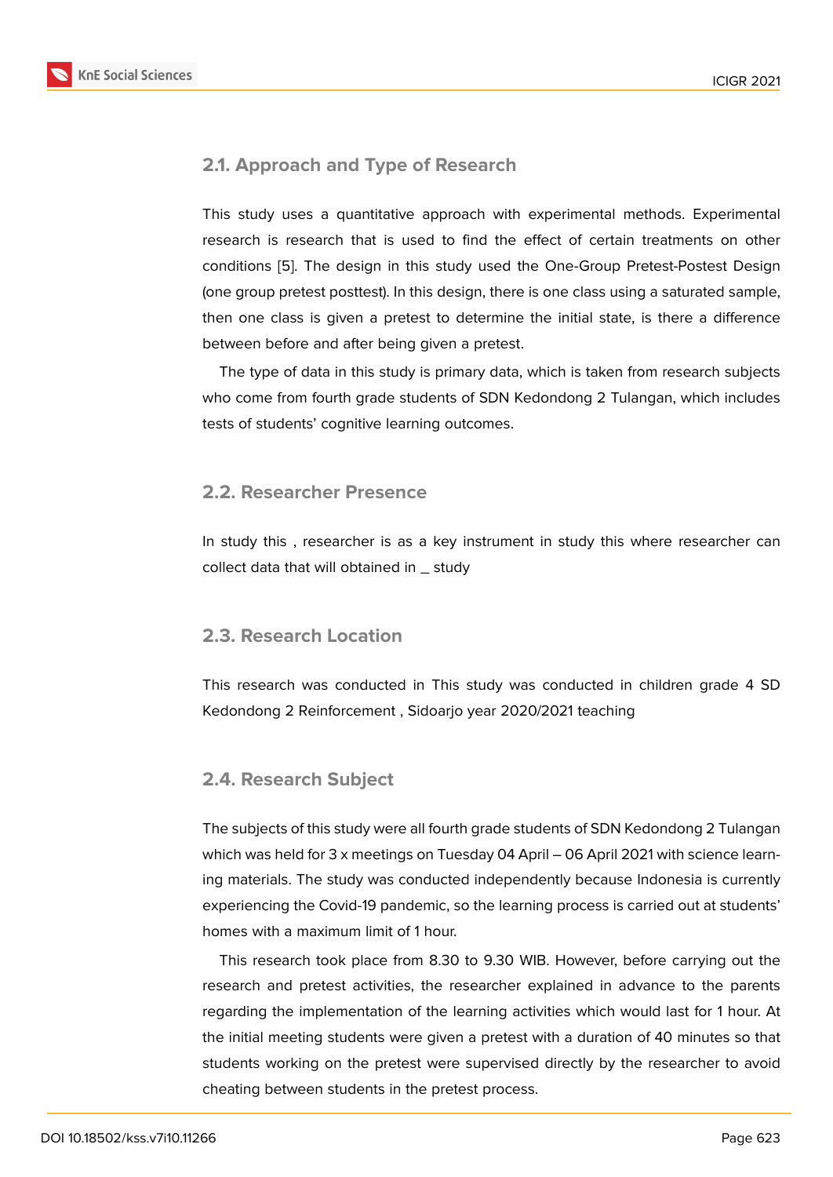### **2.1. Approach and Type of Research**

This study uses a quantitative approach with experimental methods. Experimental research is research that is used to find the effect of certain treatments on other conditions [5]. The design in this study used the One-Group Pretest-Postest Design (one group pretest posttest). In this design, there is one class using a saturated sample, then one class is given a pretest to determine the initial state, is there a difference between b[efo](#page-8-4)re and after being given a pretest.

The type of data in this study is primary data, which is taken from research subjects who come from fourth grade students of SDN Kedondong 2 Tulangan, which includes tests of students' cognitive learning outcomes.

### **2.2. Researcher Presence**

In study this , researcher is as a key instrument in study this where researcher can collect data that will obtained in \_ study

### **2.3. Research Location**

This research was conducted in This study was conducted in children grade 4 SD Kedondong 2 Reinforcement , Sidoarjo year 2020/2021 teaching

### **2.4. Research Subject**

The subjects of this study were all fourth grade students of SDN Kedondong 2 Tulangan which was held for 3 x meetings on Tuesday 04 April - 06 April 2021 with science learning materials. The study was conducted independently because Indonesia is currently experiencing the Covid-19 pandemic, so the learning process is carried out at students' homes with a maximum limit of 1 hour.

This research took place from 8.30 to 9.30 WIB. However, before carrying out the research and pretest activities, the researcher explained in advance to the parents regarding the implementation of the learning activities which would last for 1 hour. At the initial meeting students were given a pretest with a duration of 40 minutes so that students working on the pretest were supervised directly by the researcher to avoid cheating between students in the pretest process.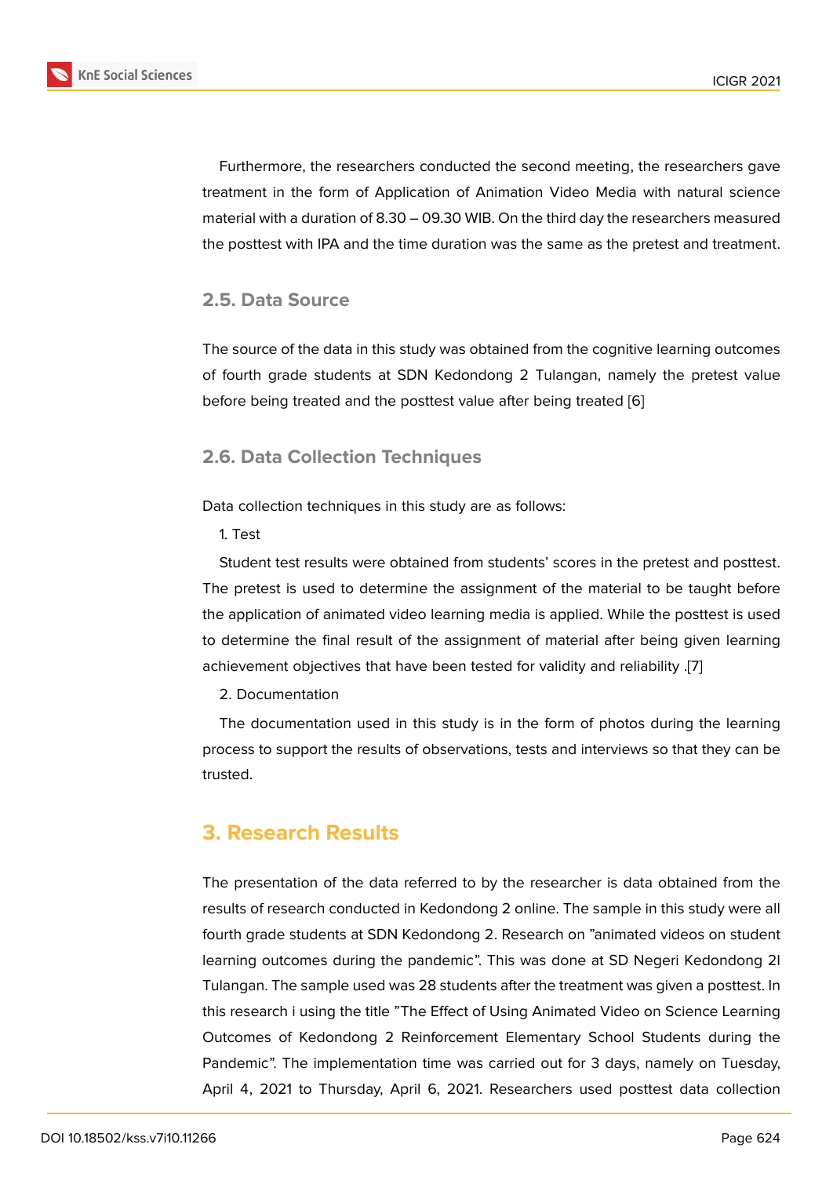Furthermore, the researchers conducted the second meeting, the researchers gave treatment in the form of Application of Animation Video Media with natural science material with a duration of 8.30 – 09.30 WIB. On the third day the researchers measured the posttest with IPA and the time duration was the same as the pretest and treatment.

#### **2.5. Data Source**

The source of the data in this study was obtained from the cognitive learning outcomes of fourth grade students at SDN Kedondong 2 Tulangan, namely the pretest value before being treated and the posttest value after being treated [6]

### **2.6. Data Collection Techniques**

Data collection techniques in this study are as follows:

1. Test

Student test results were obtained from students' scores in the pretest and posttest. The pretest is used to determine the assignment of the material to be taught before the application of animated video learning media is applied. While the posttest is used to determine the final result of the assignment of material after being given learning achievement objectives that have been tested for validity and reliability .[7]

2. Documentation

The documentation used in this study is in the form of photos during the learning process to support the results of observations, tests and interviews so th[at](#page-8-5) they can be trusted.

## **3. Research Results**

The presentation of the data referred to by the researcher is data obtained from the results of research conducted in Kedondong 2 online. The sample in this study were all fourth grade students at SDN Kedondong 2. Research on "animated videos on student learning outcomes during the pandemic". This was done at SD Negeri Kedondong 2I Tulangan. The sample used was 28 students after the treatment was given a posttest. In this research i using the title "The Effect of Using Animated Video on Science Learning Outcomes of Kedondong 2 Reinforcement Elementary School Students during the Pandemic". The implementation time was carried out for 3 days, namely on Tuesday, April 4, 2021 to Thursday, April 6, 2021. Researchers used posttest data collection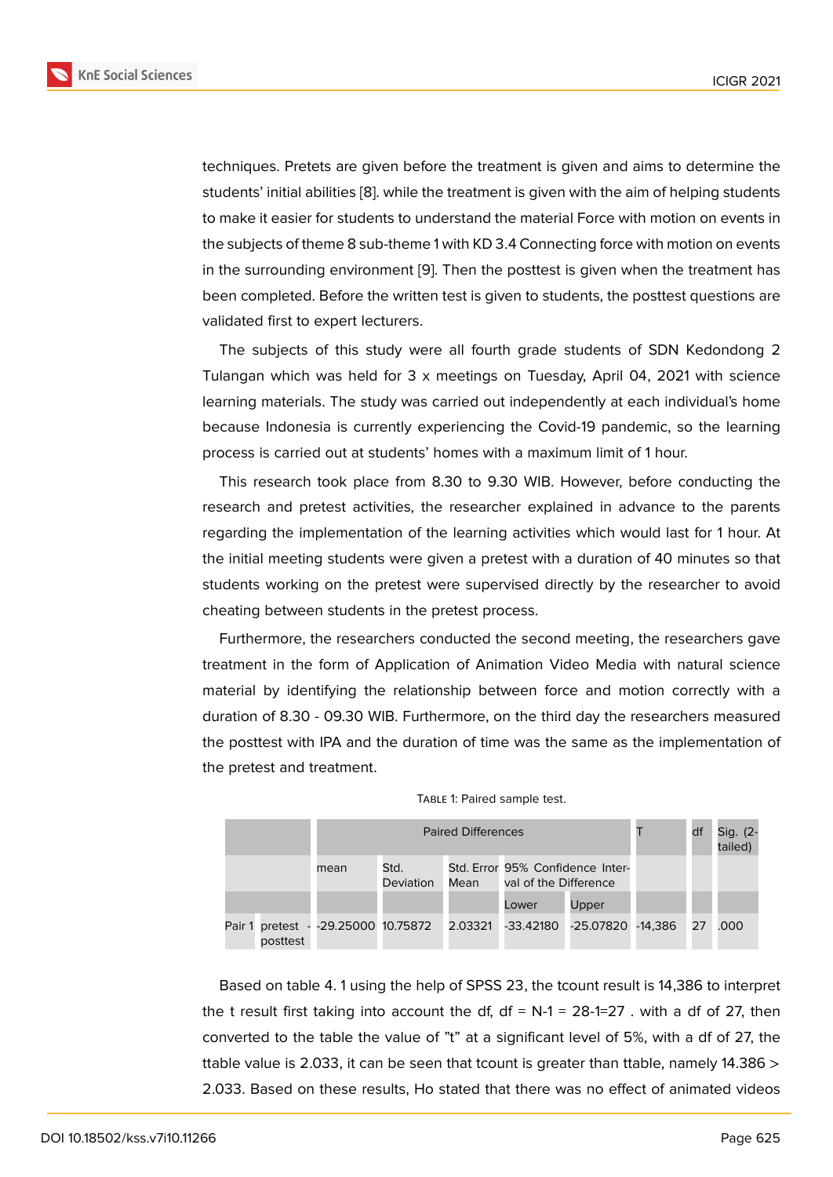techniques. Pretets are given before the treatment is given and aims to determine the students' initial abilities [8]. while the treatment is given with the aim of helping students to make it easier for students to understand the material Force with motion on events in the subjects of theme 8 sub-theme 1 with KD 3.4 Connecting force with motion on events in the surrounding envir[on](#page-8-6)ment [9]. Then the posttest is given when the treatment has been completed. Before the written test is given to students, the posttest questions are validated first to expert lecturers.

The subjects of this study w[er](#page-8-7)e all fourth grade students of SDN Kedondong 2 Tulangan which was held for 3 x meetings on Tuesday, April 04, 2021 with science learning materials. The study was carried out independently at each individual's home because Indonesia is currently experiencing the Covid-19 pandemic, so the learning process is carried out at students' homes with a maximum limit of 1 hour.

This research took place from 8.30 to 9.30 WIB. However, before conducting the research and pretest activities, the researcher explained in advance to the parents regarding the implementation of the learning activities which would last for 1 hour. At the initial meeting students were given a pretest with a duration of 40 minutes so that students working on the pretest were supervised directly by the researcher to avoid cheating between students in the pretest process.

Furthermore, the researchers conducted the second meeting, the researchers gave treatment in the form of Application of Animation Video Media with natural science material by identifying the relationship between force and motion correctly with a duration of 8.30 - 09.30 WIB. Furthermore, on the third day the researchers measured the posttest with IPA and the duration of time was the same as the implementation of the pretest and treatment.

|  |                              |      |                    | df   | Sig. (2-<br>tailed)                                       |           |         |    |      |
|--|------------------------------|------|--------------------|------|-----------------------------------------------------------|-----------|---------|----|------|
|  |                              | mean | Std.<br>Deviation  | Mean | Std. Error 95% Confidence Inter-<br>val of the Difference |           |         |    |      |
|  |                              |      |                    |      | Lower                                                     | Upper     |         |    |      |
|  | Pair 1 pretest -<br>posttest |      | -29.25000 10.75872 |      | 2.03321 -33.42180                                         | -25.07820 | -14.386 | 27 | .000 |



Based on table 4. 1 using the help of SPSS 23, the tcount result is 14,386 to interpret the t result first taking into account the df,  $df = N-1 = 28-1=27$ . with a df of 27, then converted to the table the value of "t" at a significant level of 5%, with a df of 27, the ttable value is 2.033, it can be seen that tcount is greater than ttable, namely 14.386  $>$ 2.033. Based on these results, Ho stated that there was no effect of animated videos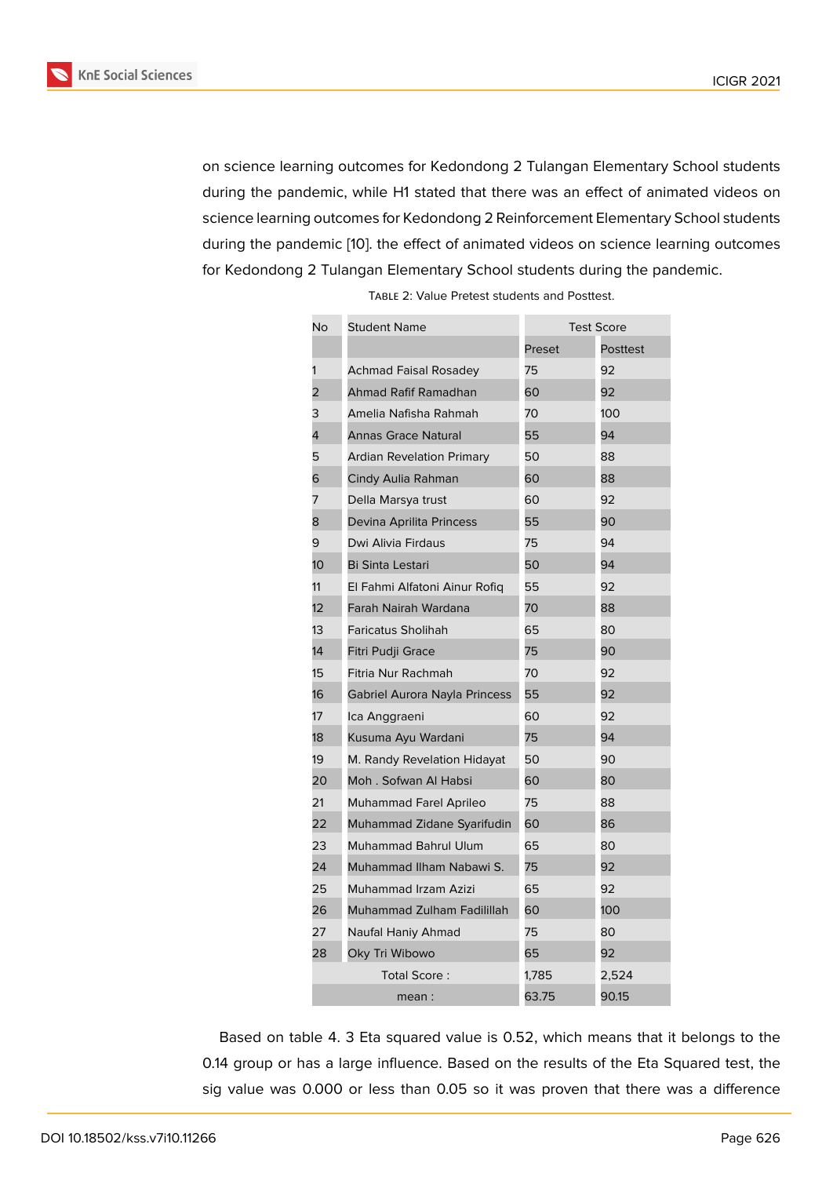on science learning outcomes for Kedondong 2 Tulangan Elementary School students during the pandemic, while H1 stated that there was an effect of animated videos on science learning outcomes for Kedondong 2 Reinforcement Elementary School students during the pandemic [10]. the effect of animated videos on science learning outcomes for Kedondong 2 Tulangan Elementary School students during the pandemic.

| No | <b>Student Name</b>              | <b>Test Score</b> |                 |  |
|----|----------------------------------|-------------------|-----------------|--|
|    |                                  | Preset            | <b>Posttest</b> |  |
| 1  | Achmad Faisal Rosadey            | 75                | 92              |  |
| 2  | Ahmad Rafif Ramadhan             | 60                | 92              |  |
| 3  | Amelia Nafisha Rahmah            | 70                | 100             |  |
| 4  | <b>Annas Grace Natural</b>       | 55                | 94              |  |
| 5  | <b>Ardian Revelation Primary</b> | 50                | 88              |  |
| 6  | Cindy Aulia Rahman               | 60                | 88              |  |
| 7  | Della Marsya trust               | 60                | 92              |  |
| 8  | Devina Aprilita Princess         | 55                | 90              |  |
| 9  | Dwi Alivia Firdaus               | 75                | 94              |  |
| 10 | <b>Bi Sinta Lestari</b>          | 50                | 94              |  |
| 11 | El Fahmi Alfatoni Ainur Rofiq    | 55                | 92              |  |
| 12 | Farah Nairah Wardana             | 70                | 88              |  |
| 13 | <b>Faricatus Sholihah</b>        | 65                | 80              |  |
| 14 | Fitri Pudji Grace                | 75                | 90              |  |
| 15 | Fitria Nur Rachmah               | 70                | 92              |  |
| 16 | Gabriel Aurora Nayla Princess    | 55                | 92              |  |
| 17 | Ica Anggraeni                    | 60                | 92              |  |
| 18 | Kusuma Ayu Wardani               | 75                | 94              |  |
| 19 | M. Randy Revelation Hidayat      | 50                | 90              |  |
| 20 | Moh. Sofwan Al Habsi             | 60                | 80              |  |
| 21 | Muhammad Farel Aprileo           | 75                | 88              |  |
| 22 | Muhammad Zidane Syarifudin       | 60                | 86              |  |
| 23 | Muhammad Bahrul Ulum             | 65                | 80              |  |
| 24 | Muhammad Ilham Nabawi S.         | 75                | 92              |  |
| 25 | Muhammad Irzam Azizi             | 65                | 92              |  |
| 26 | Muhammad Zulham Fadilillah       | 60                | 100             |  |
| 27 | Naufal Haniy Ahmad               | 75                | 80              |  |
| 28 | Oky Tri Wibowo                   | 65                | 92              |  |
|    | Total Score:                     | 1,785             | 2,524           |  |
|    | mean :                           | 63.75             | 90.15           |  |

Table 2: Value Pretest students and Posttest.

Based on table 4. 3 Eta squared value is 0.52, which means that it belongs to the 0.14 group or has a large influence. Based on the results of the Eta Squared test, the sig value was 0.000 or less than 0.05 so it was proven that there was a difference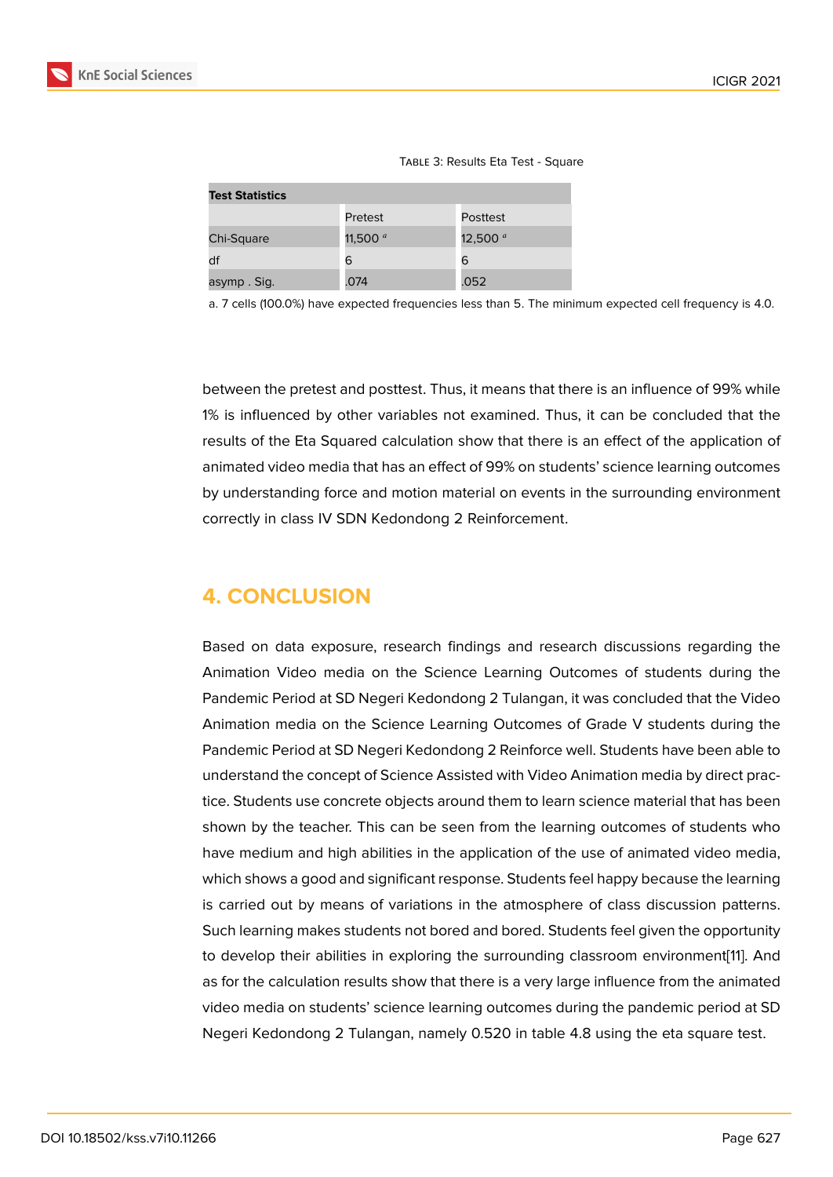| <b>Test Statistics</b> |            |            |  |  |  |  |  |  |  |
|------------------------|------------|------------|--|--|--|--|--|--|--|
|                        | Pretest    | Posttest   |  |  |  |  |  |  |  |
| Chi-Square             | 11,500 $a$ | 12,500 $a$ |  |  |  |  |  |  |  |
| df                     | 6          | 6          |  |  |  |  |  |  |  |
| asymp. Sig.            | .074       | .052       |  |  |  |  |  |  |  |

a. 7 cells (100.0%) have expected frequencies less than 5. The minimum expected cell frequency is 4.0.

between the pretest and posttest. Thus, it means that there is an influence of 99% while 1% is influenced by other variables not examined. Thus, it can be concluded that the results of the Eta Squared calculation show that there is an effect of the application of animated video media that has an effect of 99% on students' science learning outcomes by understanding force and motion material on events in the surrounding environment correctly in class IV SDN Kedondong 2 Reinforcement.

# **4. CONCLUSION**

Based on data exposure, research findings and research discussions regarding the Animation Video media on the Science Learning Outcomes of students during the Pandemic Period at SD Negeri Kedondong 2 Tulangan, it was concluded that the Video Animation media on the Science Learning Outcomes of Grade V students during the Pandemic Period at SD Negeri Kedondong 2 Reinforce well. Students have been able to understand the concept of Science Assisted with Video Animation media by direct practice. Students use concrete objects around them to learn science material that has been shown by the teacher. This can be seen from the learning outcomes of students who have medium and high abilities in the application of the use of animated video media, which shows a good and significant response. Students feel happy because the learning is carried out by means of variations in the atmosphere of class discussion patterns. Such learning makes students not bored and bored. Students feel given the opportunity to develop their abilities in exploring the surrounding classroom environment[11]. And as for the calculation results show that there is a very large influence from the animated video media on students' science learning outcomes during the pandemic period at SD Negeri Kedondong 2 Tulangan, namely 0.520 in table 4.8 using the eta squar[e t](#page-8-9)est.